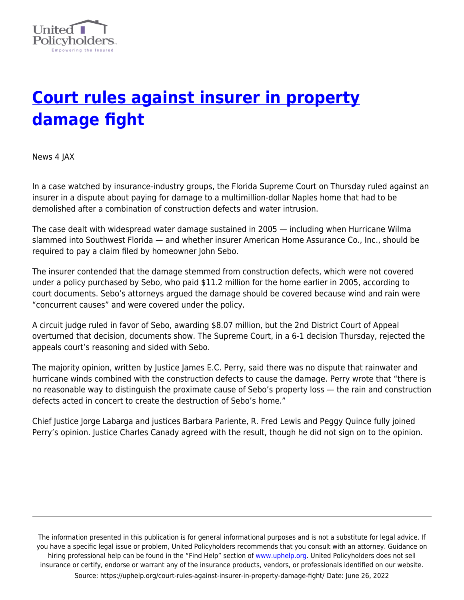

## **[Court rules against insurer in property](https://uphelp.org/court-rules-against-insurer-in-property-damage-fight/) [damage fight](https://uphelp.org/court-rules-against-insurer-in-property-damage-fight/)**

News 4 JAX

In a case watched by insurance-industry groups, the Florida Supreme Court on Thursday ruled against an insurer in a dispute about paying for damage to a multimillion-dollar Naples home that had to be demolished after a combination of construction defects and water intrusion.

The case dealt with widespread water damage sustained in 2005 — including when Hurricane Wilma slammed into Southwest Florida — and whether insurer American Home Assurance Co., Inc., should be required to pay a claim filed by homeowner John Sebo.

The insurer contended that the damage stemmed from construction defects, which were not covered under a policy purchased by Sebo, who paid \$11.2 million for the home earlier in 2005, according to court documents. Sebo's attorneys argued the damage should be covered because wind and rain were "concurrent causes" and were covered under the policy.

A circuit judge ruled in favor of Sebo, awarding \$8.07 million, but the 2nd District Court of Appeal overturned that decision, documents show. The Supreme Court, in a 6-1 decision Thursday, rejected the appeals court's reasoning and sided with Sebo.

The majority opinion, written by Justice James E.C. Perry, said there was no dispute that rainwater and hurricane winds combined with the construction defects to cause the damage. Perry wrote that "there is no reasonable way to distinguish the proximate cause of Sebo's property loss — the rain and construction defects acted in concert to create the destruction of Sebo's home."

Chief Justice Jorge Labarga and justices Barbara Pariente, R. Fred Lewis and Peggy Quince fully joined Perry's opinion. Justice Charles Canady agreed with the result, though he did not sign on to the opinion.

The information presented in this publication is for general informational purposes and is not a substitute for legal advice. If you have a specific legal issue or problem, United Policyholders recommends that you consult with an attorney. Guidance on hiring professional help can be found in the "Find Help" section of [www.uphelp.org.](http://www.uphelp.org/) United Policyholders does not sell insurance or certify, endorse or warrant any of the insurance products, vendors, or professionals identified on our website. Source: https://uphelp.org/court-rules-against-insurer-in-property-damage-fight/ Date: June 26, 2022